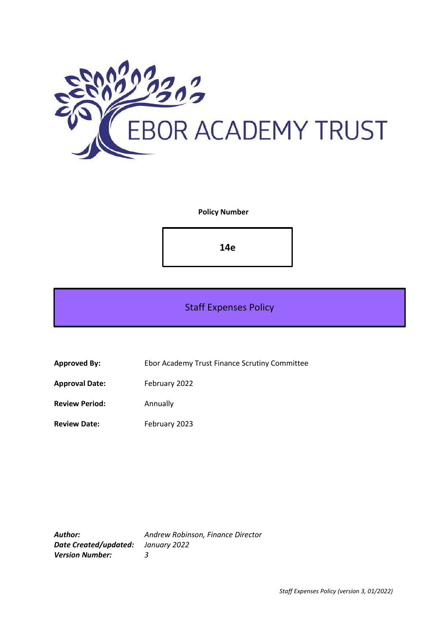

**Policy Number**

**14e**

# Staff Expenses Policy

**Approved By:** Ebor Academy Trust Finance Scrutiny Committee

**Approval Date:** February 2022

**Review Period:** Annually

**Review Date:** February 2023

*Author: Andrew Robinson, Finance Director Date Created/updated: January 2022 Version Number: 3*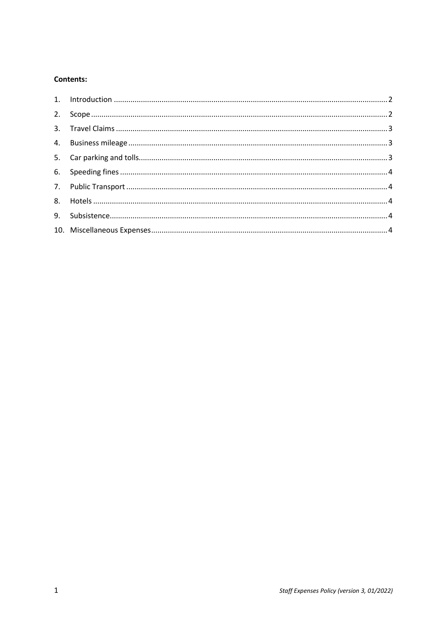# Contents: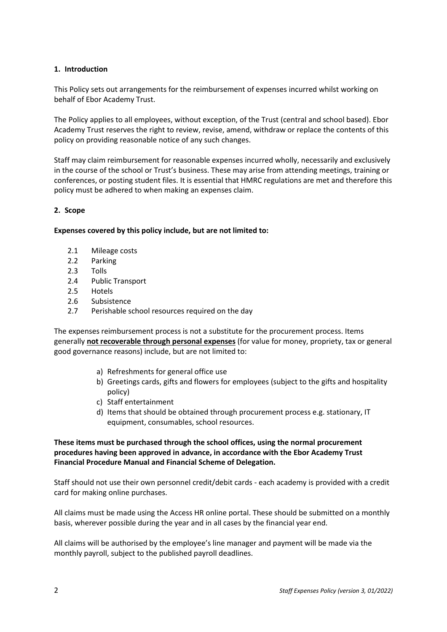## <span id="page-2-0"></span>**1. Introduction**

This Policy sets out arrangements for the reimbursement of expenses incurred whilst working on behalf of Ebor Academy Trust.

The Policy applies to all employees, without exception, of the Trust (central and school based). Ebor Academy Trust reserves the right to review, revise, amend, withdraw or replace the contents of this policy on providing reasonable notice of any such changes.

Staff may claim reimbursement for reasonable expenses incurred wholly, necessarily and exclusively in the course of the school or Trust's business. These may arise from attending meetings, training or conferences, or posting student files. It is essential that HMRC regulations are met and therefore this policy must be adhered to when making an expenses claim.

## <span id="page-2-1"></span>**2. Scope**

#### **Expenses covered by this policy include, but are not limited to:**

- 2.1 Mileage costs
- 2.2 Parking
- 2.3 Tolls
- 2.4 Public Transport
- 2.5 Hotels
- 2.6 Subsistence
- 2.7 Perishable school resources required on the day

The expenses reimbursement process is not a substitute for the procurement process. Items generally **not recoverable through personal expenses** (for value for money, propriety, tax or general good governance reasons) include, but are not limited to:

- a) Refreshments for general office use
- b) Greetings cards, gifts and flowers for employees (subject to the gifts and hospitality policy)
- c) Staff entertainment
- d) Items that should be obtained through procurement process e.g. stationary, IT equipment, consumables, school resources.

**These items must be purchased through the school offices, using the normal procurement procedures having been approved in advance, in accordance with the Ebor Academy Trust Financial Procedure Manual and Financial Scheme of Delegation.**

Staff should not use their own personnel credit/debit cards - each academy is provided with a credit card for making online purchases.

All claims must be made using the Access HR online portal. These should be submitted on a monthly basis, wherever possible during the year and in all cases by the financial year end.

All claims will be authorised by the employee's line manager and payment will be made via the monthly payroll, subject to the published payroll deadlines.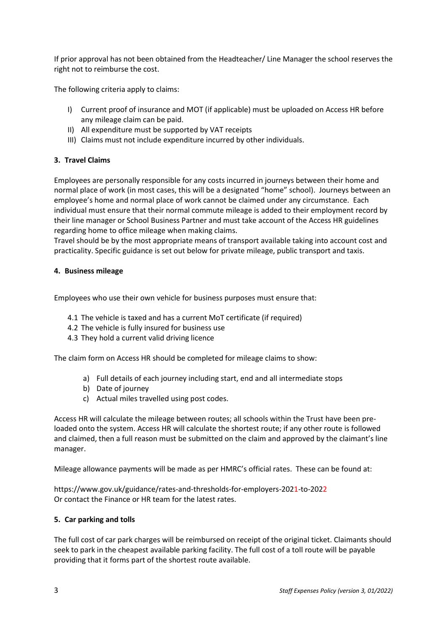If prior approval has not been obtained from the Headteacher/ Line Manager the school reserves the right not to reimburse the cost.

The following criteria apply to claims:

- I) Current proof of insurance and MOT (if applicable) must be uploaded on Access HR before any mileage claim can be paid.
- II) All expenditure must be supported by VAT receipts
- III) Claims must not include expenditure incurred by other individuals.

# <span id="page-3-0"></span>**3. Travel Claims**

Employees are personally responsible for any costs incurred in journeys between their home and normal place of work (in most cases, this will be a designated "home" school). Journeys between an employee's home and normal place of work cannot be claimed under any circumstance. Each individual must ensure that their normal commute mileage is added to their employment record by their line manager or School Business Partner and must take account of the Access HR guidelines regarding home to office mileage when making claims.

Travel should be by the most appropriate means of transport available taking into account cost and practicality. Specific guidance is set out below for private mileage, public transport and taxis.

## <span id="page-3-1"></span>**4. Business mileage**

Employees who use their own vehicle for business purposes must ensure that:

- 4.1 The vehicle is taxed and has a current MoT certificate (if required)
- 4.2 The vehicle is fully insured for business use
- 4.3 They hold a current valid driving licence

The claim form on Access HR should be completed for mileage claims to show:

- a) Full details of each journey including start, end and all intermediate stops
- b) Date of journey
- c) Actual miles travelled using post codes.

Access HR will calculate the mileage between routes; all schools within the Trust have been preloaded onto the system. Access HR will calculate the shortest route; if any other route is followed and claimed, then a full reason must be submitted on the claim and approved by the claimant's line manager.

Mileage allowance payments will be made as per HMRC's official rates. These can be found at:

https://www.gov.uk/guidance/rates-and-thresholds-for-employers-2021-to-2022 Or contact the Finance or HR team for the latest rates.

## <span id="page-3-2"></span>**5. Car parking and tolls**

The full cost of car park charges will be reimbursed on receipt of the original ticket. Claimants should seek to park in the cheapest available parking facility. The full cost of a toll route will be payable providing that it forms part of the shortest route available.